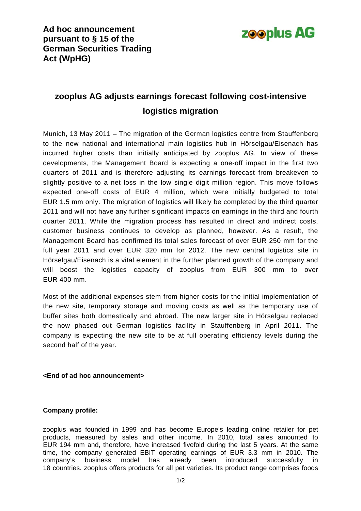

## **zooplus AG adjusts earnings forecast following cost-intensive logistics migration**

Munich, 13 May 2011 – The migration of the German logistics centre from Stauffenberg to the new national and international main logistics hub in Hörselgau/Eisenach has incurred higher costs than initially anticipated by zooplus AG. In view of these developments, the Management Board is expecting a one-off impact in the first two quarters of 2011 and is therefore adjusting its earnings forecast from breakeven to slightly positive to a net loss in the low single digit million region. This move follows expected one-off costs of EUR 4 million, which were initially budgeted to total EUR 1.5 mm only. The migration of logistics will likely be completed by the third quarter 2011 and will not have any further significant impacts on earnings in the third and fourth quarter 2011. While the migration process has resulted in direct and indirect costs, customer business continues to develop as planned, however. As a result, the Management Board has confirmed its total sales forecast of over EUR 250 mm for the full year 2011 and over EUR 320 mm for 2012. The new central logistics site in Hörselgau/Eisenach is a vital element in the further planned growth of the company and will boost the logistics capacity of zooplus from EUR 300 mm to over EUR 400 mm.

Most of the additional expenses stem from higher costs for the initial implementation of the new site, temporary storage and moving costs as well as the temporary use of buffer sites both domestically and abroad. The new larger site in Hörselgau replaced the now phased out German logistics facility in Stauffenberg in April 2011. The company is expecting the new site to be at full operating efficiency levels during the second half of the year.

## **<End of ad hoc announcement>**

## **Company profile:**

zooplus was founded in 1999 and has become Europe's leading online retailer for pet products, measured by sales and other income. In 2010, total sales amounted to EUR 194 mm and, therefore, have increased fivefold during the last 5 years. At the same time, the company generated EBIT operating earnings of EUR 3.3 mm in 2010. The company's business model has already been introduced successfully in 18 countries. zooplus offers products for all pet varieties. Its product range comprises foods